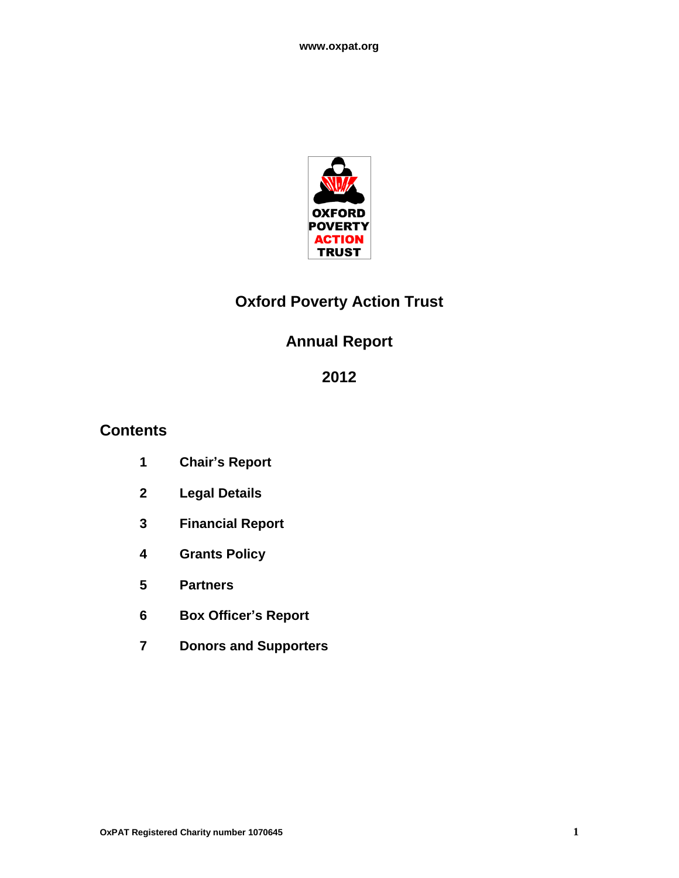

# **Oxford Poverty Action Trust**

# **Annual Report**

# 

## **Contents**

- **Chair's Report**
- **Legal Details**
- **Financial Report**
- **Grants Policy**
- **Partners**
- **Box Officer's Report**
- **Donors and Supporters**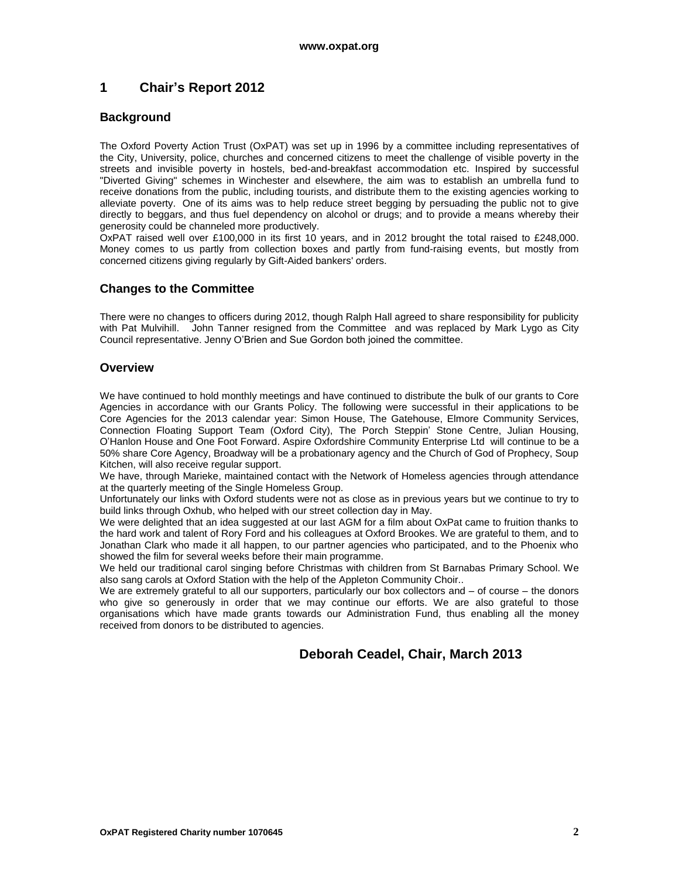## **1 Chair's Report 2012**

#### **Background**

The Oxford Poverty Action Trust (OxPAT) was set up in 1996 by a committee including representatives of the City, University, police, churches and concerned citizens to meet the challenge of visible poverty in the streets and invisible poverty in hostels, bed-and-breakfast accommodation etc. Inspired by successful "Diverted Giving" schemes in Winchester and elsewhere, the aim was to establish an umbrella fund to receive donations from the public, including tourists, and distribute them to the existing agencies working to alleviate poverty. One of its aims was to help reduce street begging by persuading the public not to give directly to beggars, and thus fuel dependency on alcohol or drugs; and to provide a means whereby their generosity could be channeled more productively.

OxPAT raised well over £100,000 in its first 10 years, and in 2012 brought the total raised to £248,000. Money comes to us partly from collection boxes and partly from fund-raising events, but mostly from concerned citizens giving regularly by Gift-Aided bankers' orders.

### **Changes to the Committee**

There were no changes to officers during 2012, though Ralph Hall agreed to share responsibility for publicity with Pat Mulvihill. John Tanner resigned from the Committee and was replaced by Mark Lygo as City Council representative. Jenny O"Brien and Sue Gordon both joined the committee.

#### **Overview**

We have continued to hold monthly meetings and have continued to distribute the bulk of our grants to Core Agencies in accordance with our Grants Policy. The following were successful in their applications to be Core Agencies for the 2013 calendar year: Simon House, The Gatehouse, Elmore Community Services, Connection Floating Support Team (Oxford City), The Porch Steppin" Stone Centre, Julian Housing, O"Hanlon House and One Foot Forward. Aspire Oxfordshire Community Enterprise Ltd will continue to be a 50% share Core Agency, Broadway will be a probationary agency and the Church of God of Prophecy, Soup Kitchen, will also receive regular support.

We have, through Marieke, maintained contact with the Network of Homeless agencies through attendance at the quarterly meeting of the Single Homeless Group.

Unfortunately our links with Oxford students were not as close as in previous years but we continue to try to build links through Oxhub, who helped with our street collection day in May.

We were delighted that an idea suggested at our last AGM for a film about OxPat came to fruition thanks to the hard work and talent of Rory Ford and his colleagues at Oxford Brookes. We are grateful to them, and to Jonathan Clark who made it all happen, to our partner agencies who participated, and to the Phoenix who showed the film for several weeks before their main programme.

We held our traditional carol singing before Christmas with children from St Barnabas Primary School. We also sang carols at Oxford Station with the help of the Appleton Community Choir..

We are extremely grateful to all our supporters, particularly our box collectors and – of course – the donors who give so generously in order that we may continue our efforts. We are also grateful to those organisations which have made grants towards our Administration Fund, thus enabling all the money received from donors to be distributed to agencies.

## **Deborah Ceadel, Chair, March 2013**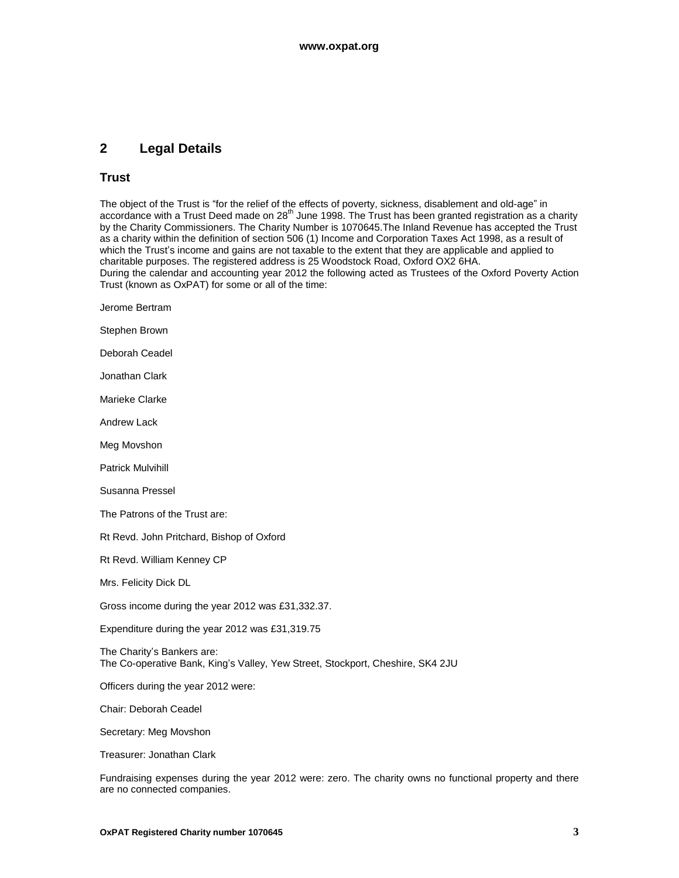## **2 Legal Details**

#### **Trust**

The object of the Trust is "for the relief of the effects of poverty, sickness, disablement and old-age" in accordance with a Trust Deed made on 28<sup>th</sup> June 1998. The Trust has been granted registration as a charity by the Charity Commissioners. The Charity Number is 1070645.The Inland Revenue has accepted the Trust as a charity within the definition of section 506 (1) Income and Corporation Taxes Act 1998, as a result of which the Trust's income and gains are not taxable to the extent that they are applicable and applied to charitable purposes. The registered address is 25 Woodstock Road, Oxford OX2 6HA. During the calendar and accounting year 2012 the following acted as Trustees of the Oxford Poverty Action Trust (known as OxPAT) for some or all of the time:

- Jerome Bertram
- Stephen Brown
- Deborah Ceadel
- Jonathan Clark
- Marieke Clarke
- Andrew Lack
- Meg Movshon
- Patrick Mulvihill
- Susanna Pressel
- The Patrons of the Trust are:
- Rt Revd. John Pritchard, Bishop of Oxford
- Rt Revd. William Kenney CP
- Mrs. Felicity Dick DL
- Gross income during the year 2012 was £31,332.37.
- Expenditure during the year 2012 was £31,319.75
- The Charity's Bankers are: The Co-operative Bank, King"s Valley, Yew Street, Stockport, Cheshire, SK4 2JU
- Officers during the year 2012 were:
- Chair: Deborah Ceadel
- Secretary: Meg Movshon
- Treasurer: Jonathan Clark

Fundraising expenses during the year 2012 were: zero. The charity owns no functional property and there are no connected companies.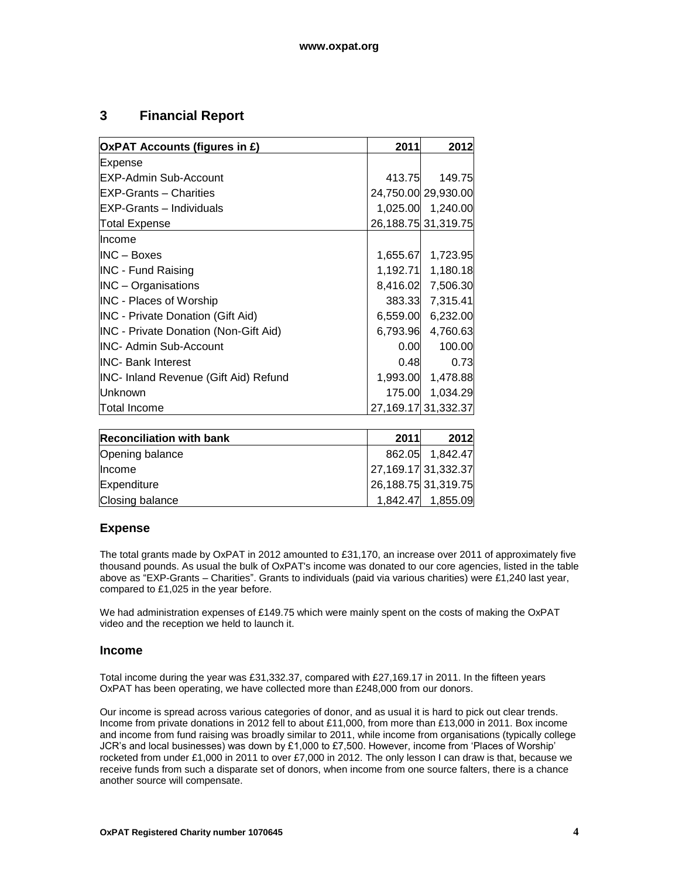## **3 Financial Report**

| <b>OxPAT Accounts (figures in £)</b>         | 2011     | 2012                    |
|----------------------------------------------|----------|-------------------------|
| Expense                                      |          |                         |
| <b>EXP-Admin Sub-Account</b>                 | 413.75   | 149.75                  |
| <b>EXP-Grants - Charities</b>                |          | 24,750.00 29,930.00     |
| <b>EXP-Grants - Individuals</b>              |          | 1,025.00 1,240.00       |
| <b>Total Expense</b>                         |          | 26, 188. 75 31, 319. 75 |
| llncome                                      |          |                         |
| $INC - Boxes$                                | 1,655.67 | 1,723.95                |
| <b>INC - Fund Raising</b>                    | 1,192.71 | 1,180.18                |
| <b>INC</b> – Organisations                   | 8,416.02 | 7,506.30                |
| <b>INC</b> - Places of Worship               | 383.33   | 7,315.41                |
| <b>INC</b> - Private Donation (Gift Aid)     | 6,559.00 | 6,232.00                |
| <b>INC - Private Donation (Non-Gift Aid)</b> | 6,793.96 | 4,760.63                |
| <b>INC- Admin Sub-Account</b>                | 0.00     | 100.00                  |
| <b>INC- Bank Interest</b>                    | 0.48     | 0.73                    |
| INC- Inland Revenue (Gift Aid) Refund        | 1,993.00 | 1,478.88                |
| <b>Unknown</b>                               |          | 175.00 1,034.29         |
| Total Income                                 |          | 27, 169. 17 31, 332. 37 |

| <b>Reconciliation with bank</b> | 2011                | 2012              |
|---------------------------------|---------------------|-------------------|
| Opening balance                 |                     | 862.05 1,842.47   |
| Income                          | 27,169.17 31,332.37 |                   |
| Expenditure                     | 26,188.75 31,319.75 |                   |
| Closing balance                 |                     | 1,842.47 1,855.09 |

### **Expense**

The total grants made by OxPAT in 2012 amounted to £31,170, an increase over 2011 of approximately five thousand pounds. As usual the bulk of OxPAT's income was donated to our core agencies, listed in the table above as "EXP-Grants – Charities". Grants to individuals (paid via various charities) were £1,240 last year, compared to £1,025 in the year before.

We had administration expenses of £149.75 which were mainly spent on the costs of making the OxPAT video and the reception we held to launch it.

### **Income**

Total income during the year was £31,332.37, compared with £27,169.17 in 2011. In the fifteen years OxPAT has been operating, we have collected more than £248,000 from our donors.

Our income is spread across various categories of donor, and as usual it is hard to pick out clear trends. Income from private donations in 2012 fell to about £11,000, from more than £13,000 in 2011. Box income and income from fund raising was broadly similar to 2011, while income from organisations (typically college JCR"s and local businesses) was down by £1,000 to £7,500. However, income from "Places of Worship" rocketed from under £1,000 in 2011 to over £7,000 in 2012. The only lesson I can draw is that, because we receive funds from such a disparate set of donors, when income from one source falters, there is a chance another source will compensate.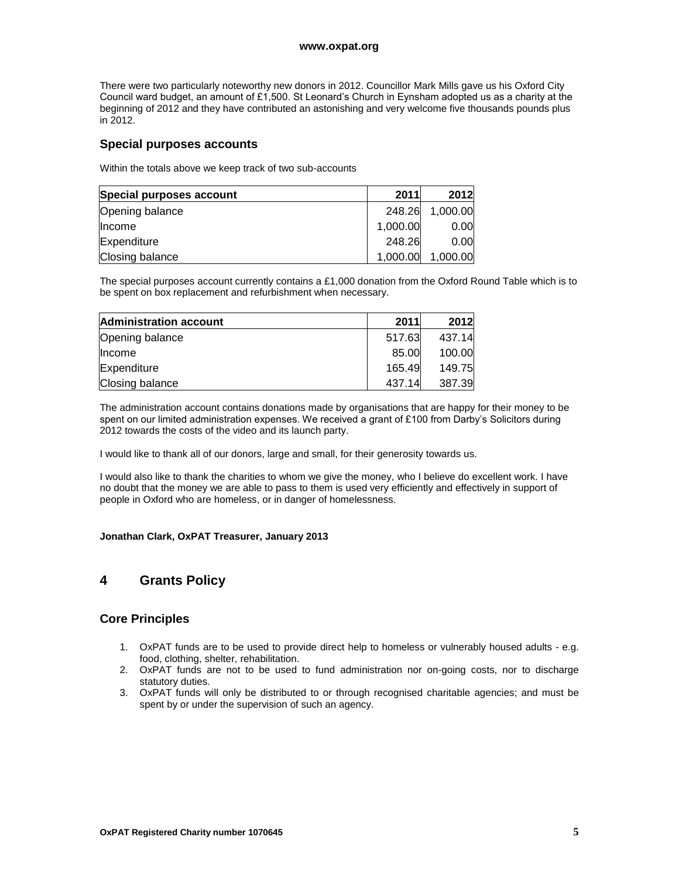#### **www.oxpat.org**

There were two particularly noteworthy new donors in 2012. Councillor Mark Mills gave us his Oxford City Council ward budget, an amount of £1,500. St Leonard"s Church in Eynsham adopted us as a charity at the beginning of 2012 and they have contributed an astonishing and very welcome five thousands pounds plus in 2012.

#### **Special purposes accounts**

Within the totals above we keep track of two sub-accounts

| Special purposes account | 2011     | 2012              |
|--------------------------|----------|-------------------|
| Opening balance          | 248.26   | 1,000.00          |
| Income                   | 1,000.00 | 0.00 <sub>l</sub> |
| Expenditure              | 248.26   | 0.00 <sub>l</sub> |
| Closing balance          | 1,000.00 | 1,000.00          |

The special purposes account currently contains a £1,000 donation from the Oxford Round Table which is to be spent on box replacement and refurbishment when necessary.

| <b>Administration account</b> | 2011   | 2012   |
|-------------------------------|--------|--------|
| Opening balance               | 517.63 | 437.14 |
| <b>Income</b>                 | 85.00  | 100.00 |
| Expenditure                   | 165.49 | 149.75 |
| Closing balance               | 437.14 | 387.39 |

The administration account contains donations made by organisations that are happy for their money to be spent on our limited administration expenses. We received a grant of £100 from Darby's Solicitors during 2012 towards the costs of the video and its launch party.

I would like to thank all of our donors, large and small, for their generosity towards us.

I would also like to thank the charities to whom we give the money, who I believe do excellent work. I have no doubt that the money we are able to pass to them is used very efficiently and effectively in support of people in Oxford who are homeless, or in danger of homelessness.

#### **Jonathan Clark, OxPAT Treasurer, January 2013**

## **4 Grants Policy**

### **Core Principles**

- 1. OxPAT funds are to be used to provide direct help to homeless or vulnerably housed adults e.g. food, clothing, shelter, rehabilitation.
- 2. OxPAT funds are not to be used to fund administration nor on-going costs, nor to discharge statutory duties.
- 3. OxPAT funds will only be distributed to or through recognised charitable agencies; and must be spent by or under the supervision of such an agency.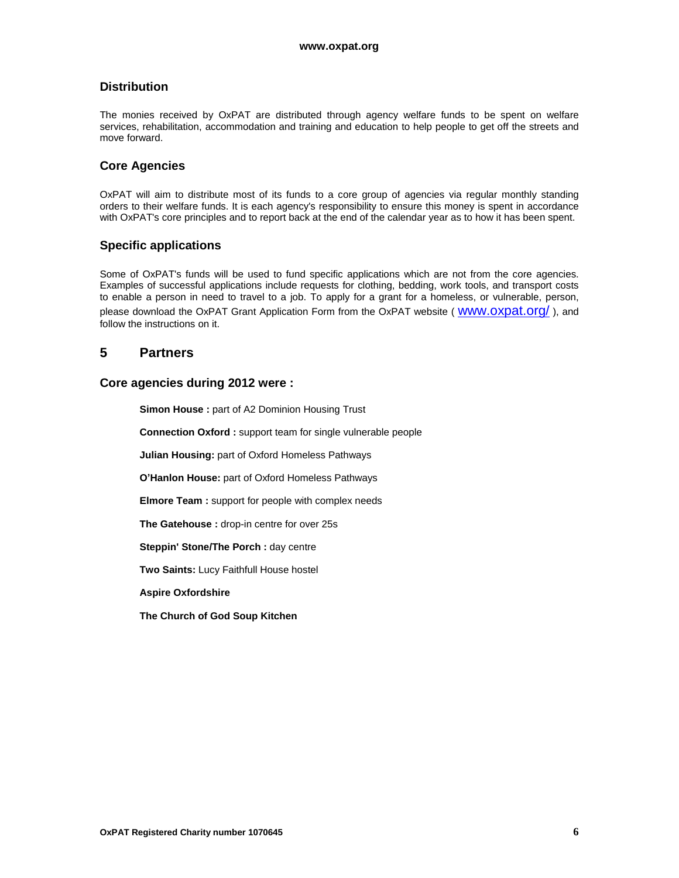## **Distribution**

The monies received by OxPAT are distributed through agency welfare funds to be spent on welfare services, rehabilitation, accommodation and training and education to help people to get off the streets and move forward.

#### **Core Agencies**

OxPAT will aim to distribute most of its funds to a core group of agencies via regular monthly standing orders to their welfare funds. It is each agency's responsibility to ensure this money is spent in accordance with OxPAT's core principles and to report back at the end of the calendar year as to how it has been spent.

### **Specific applications**

Some of OxPAT's funds will be used to fund specific applications which are not from the core agencies. Examples of successful applications include requests for clothing, bedding, work tools, and transport costs to enable a person in need to travel to a job. To apply for a grant for a homeless, or vulnerable, person, please download the OxPAT Grant Application Form from the OxPAT website (WWW.OXDat.Org/), and follow the instructions on it.

### **5 Partners**

#### **Core agencies during 2012 were :**

**Simon House :** part of A2 Dominion Housing Trust

**Connection Oxford :** support team for single vulnerable people

**Julian Housing:** part of Oxford Homeless Pathways

**O'Hanlon House:** part of Oxford Homeless Pathways

**Elmore Team :** support for people with complex needs

**The Gatehouse :** drop-in centre for over 25s

**Steppin' Stone/The Porch :** day centre

**Two Saints:** Lucy Faithfull House hostel

**Aspire Oxfordshire**

**The Church of God Soup Kitchen**